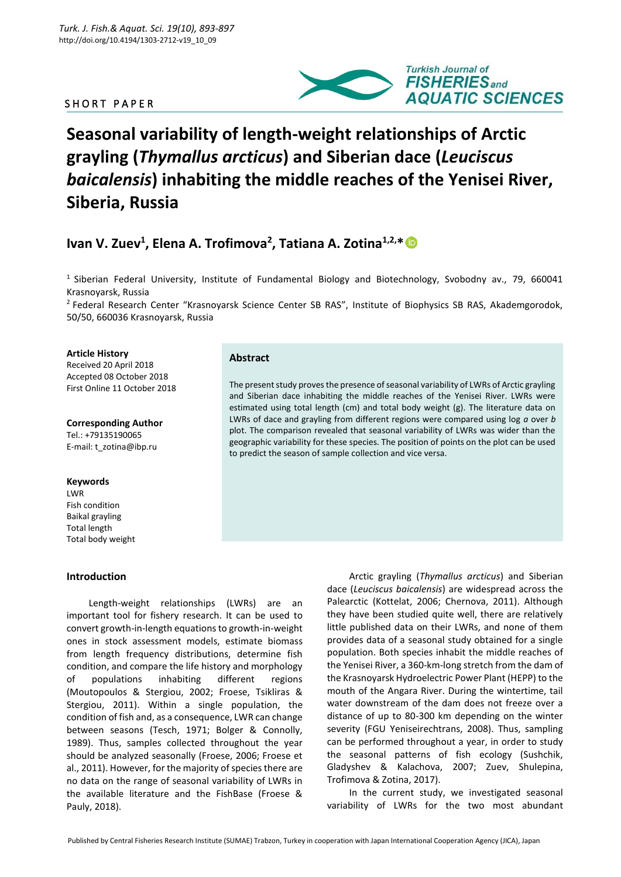# SHORT PAPER



# **Seasonal variability of length-weight relationships of Arctic grayling (***Thymallus arcticus***) and Siberian dace (***Leuciscus baicalensis***) inhabiting the middle reaches of the Yenisei River, Siberia, Russia**

# **Ivan V. Zuev<sup>1</sup> , Elena A. Trofimova<sup>2</sup> , Tatiana A. Zotina1,2,\***

**Abstract**

<sup>1</sup> Siberian Federal University, Institute of Fundamental Biology and Biotechnology, Svobodny av., 79, 660041 Krasnoyarsk, Russia

<sup>2</sup> Federal Research Center "Krasnoyarsk Science Center SB RAS", Institute of Biophysics SB RAS, Akademgorodok, 50/50, 660036 Krasnoyarsk, Russia

to predict the season of sample collection and vice versa.

The present study proves the presence of seasonal variability of LWRs of Arctic grayling and Siberian dace inhabiting the middle reaches of the Yenisei River. LWRs were estimated using total length (cm) and total body weight (g). The literature data on LWRs of dace and grayling from different regions were compared using log *a* over *b*  plot. The comparison revealed that seasonal variability of LWRs was wider than the geographic variability for these species. The position of points on the plot can be used

#### **Article History**

Received 20 April 2018 Accepted 08 October 2018 First Online 11 October 2018

**Corresponding Author** Tel.: +79135190065 E-mail: t\_zotina@ibp.ru

#### **Keywords**

LWR Fish condition Baikal grayling Total length Total body weight

#### **Introduction**

Length-weight relationships (LWRs) are an important tool for fishery research. It can be used to convert growth-in-length equations to growth-in-weight ones in stock assessment models, estimate biomass from length frequency distributions, determine fish condition, and compare the life history and morphology of populations inhabiting different regions (Moutopoulos & Stergiou, 2002; Froese, Tsikliras & Stergiou, 2011). Within a single population, the condition of fish and, as a consequence, LWR can change between seasons (Tesch, 1971; Bolger & Connolly, 1989). Thus, samples collected throughout the year should be analyzed seasonally (Froese, 2006; Froese et al., 2011). However, for the majority of species there are no data on the range of seasonal variability of LWRs in the available literature and the FishBase (Froese & Pauly, 2018).

Arctic grayling (*Thymallus arcticus*) and Siberian dace (*Leuciscus baicalensis*) are widespread across the Palearctic (Kottelat, 2006; Chernova, 2011). Although they have been studied quite well, there are relatively little published data on their LWRs, and none of them provides data of a seasonal study obtained for a single population. Both species inhabit the middle reaches of the Yenisei River, a 360-km-long stretch from the dam of the Krasnoyarsk Hydroelectric Power Plant (HEPP) to the mouth of the Angara River. During the wintertime, tail water downstream of the dam does not freeze over a distance of up to 80-300 km depending on the winter severity (FGU Yeniseirechtrans, 2008). Thus, sampling can be performed throughout a year, in order to study the seasonal patterns of fish ecology (Sushchik, Gladyshev & Kalachova, 2007; Zuev, Shulepina, Trofimova & Zotina, 2017).

In the current study, we investigated seasonal variability of LWRs for the two most abundant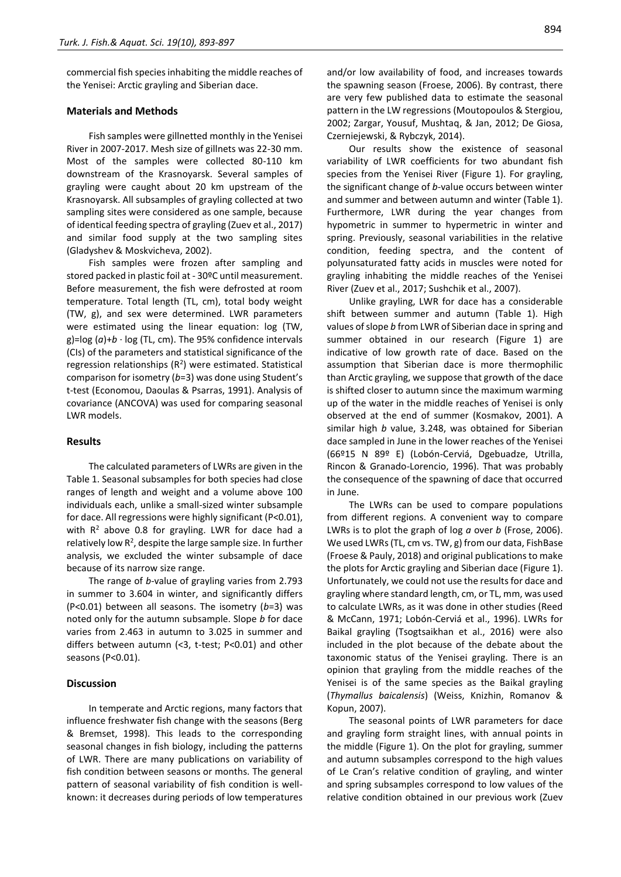commercial fish species inhabiting the middle reaches of the Yenisei: Arctic grayling and Siberian dace.

#### **Materials and Methods**

Fish samples were gillnetted monthly in the Yenisei River in 2007-2017. Mesh size of gillnets was 22-30 mm. Most of the samples were collected 80-110 km downstream of the Krasnoyarsk. Several samples of grayling were caught about 20 km upstream of the Krasnoyarsk. All subsamples of grayling collected at two sampling sites were considered as one sample, because of identical feeding spectra of grayling (Zuev et al., 2017) and similar food supply at the two sampling sites (Gladyshev & Moskvicheva, 2002).

Fish samples were frozen after sampling and stored packed in plastic foil at - 30ºC until measurement. Before measurement, the fish were defrosted at room temperature. Total length (TL, cm), total body weight (TW, g), and sex were determined. LWR parameters were estimated using the linear equation: log (TW, g)= $log (a)+b \cdot log (TL, cm)$ . The 95% confidence intervals (CIs) of the parameters and statistical significance of the regression relationships  $(R^2)$  were estimated. Statistical comparison for isometry (*b*=3) was done using Student's t-test (Economou, Daoulas & Psarras, 1991). Analysis of covariance (ANCOVA) was used for comparing seasonal LWR models.

### **Results**

The calculated parameters of LWRs are given in the Table 1. Seasonal subsamples for both species had close ranges of length and weight and a volume above 100 individuals each, unlike a small-sized winter subsample for dace. All regressions were highly significant (P<0.01), with  $R^2$  above 0.8 for grayling. LWR for dace had a relatively low R<sup>2</sup>, despite the large sample size. In further analysis, we excluded the winter subsample of dace because of its narrow size range.

The range of *b*-value of grayling varies from 2.793 in summer to 3.604 in winter, and significantly differs (P<0.01) between all seasons. The isometry (*b*=3) was noted only for the autumn subsample. Slope *b* for dace varies from 2.463 in autumn to 3.025 in summer and differs between autumn (<3, t-test; P<0.01) and other seasons (P<0.01).

#### **Discussion**

In temperate and Arctic regions, many factors that influence freshwater fish change with the seasons (Berg & Bremset, 1998). This leads to the corresponding seasonal changes in fish biology, including the patterns of LWR. There are many publications on variability of fish condition between seasons or months. The general pattern of seasonal variability of fish condition is wellknown: it decreases during periods of low temperatures and/or low availability of food, and increases towards the spawning season (Froese, 2006). By contrast, there are very few published data to estimate the seasonal pattern in the LW regressions (Moutopoulos & Stergiou, 2002; Zargar, Yousuf, Mushtaq, & Jan, 2012; De Giosa, Czerniejewski, & Rybczyk, 2014).

Our results show the existence of seasonal variability of LWR coefficients for two abundant fish species from the Yenisei River (Figure 1). For grayling, the significant change of *b*-value occurs between winter and summer and between autumn and winter (Table 1). Furthermore, LWR during the year changes from hypometric in summer to hypermetric in winter and spring. Previously, seasonal variabilities in the relative condition, feeding spectra, and the content of polyunsaturated fatty acids in muscles were noted for grayling inhabiting the middle reaches of the Yenisei River (Zuev et al., 2017; Sushchik et al., 2007).

Unlike grayling, LWR for dace has a considerable shift between summer and autumn (Table 1). High values of slope *b* from LWR of Siberian dace in spring and summer obtained in our research (Figure 1) are indicative of low growth rate of dace. Based on the assumption that Siberian dace is more thermophilic than Arctic grayling, we suppose that growth of the dace is shifted closer to autumn since the maximum warming up of the water in the middle reaches of Yenisei is only observed at the end of summer (Kosmakov, 2001). A similar high *b* value, 3.248, was obtained for Siberian dace sampled in June in the lower reaches of the Yenisei (66º15 N 89º E) (Lobón-Cerviá, Dgebuadze, Utrilla, Rincon & Granado-Lorencio, 1996). That was probably the consequence of the spawning of dace that occurred in June.

The LWRs can be used to compare populations from different regions. A convenient way to compare LWRs is to plot the graph of log *a* over *b* (Frose, 2006). We used LWRs (TL, cm vs. TW, g) from our data, FishBase (Froese & Pauly, 2018) and original publications to make the plots for Arctic grayling and Siberian dace (Figure 1). Unfortunately, we could not use the results for dace and grayling where standard length, cm, or TL, mm, was used to calculate LWRs, as it was done in other studies (Reed & McCann, 1971; Lobón-Cerviá et al., 1996). LWRs for Baikal grayling (Tsogtsaikhan et al., 2016) were also included in the plot because of the debate about the taxonomic status of the Yenisei grayling. There is an opinion that grayling from the middle reaches of the Yenisei is of the same species as the Baikal grayling (*Thymallus baicalensis*) (Weiss, Knizhin, Romanov & Kopun, 2007).

The seasonal points of LWR parameters for dace and grayling form straight lines, with annual points in the middle (Figure 1). On the plot for grayling, summer and autumn subsamples correspond to the high values of Le Cran's relative condition of grayling, and winter and spring subsamples correspond to low values of the relative condition obtained in our previous work (Zuev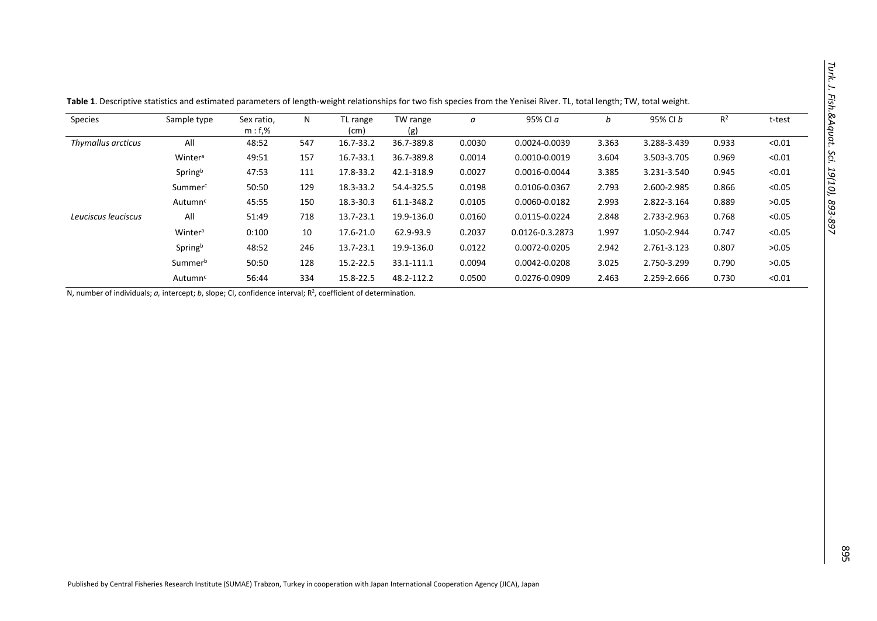| Species             | Sample type         | Sex ratio,<br>$m: f$ ,% | N   | TL range      | TW range   | a      | 95% CI a        | b     | 95% CI b    | $R^2$ | t-test |
|---------------------|---------------------|-------------------------|-----|---------------|------------|--------|-----------------|-------|-------------|-------|--------|
|                     |                     |                         |     | (cm)          | (g)        |        |                 |       |             |       |        |
| Thymallus arcticus  | All                 | 48:52                   | 547 | 16.7-33.2     | 36.7-389.8 | 0.0030 | 0.0024-0.0039   | 3.363 | 3.288-3.439 | 0.933 | < 0.01 |
|                     | Winter <sup>a</sup> | 49:51                   | 157 | 16.7-33.1     | 36.7-389.8 | 0.0014 | 0.0010-0.0019   | 3.604 | 3.503-3.705 | 0.969 | < 0.01 |
|                     | Springb             | 47:53                   | 111 | 17.8-33.2     | 42.1-318.9 | 0.0027 | 0.0016-0.0044   | 3.385 | 3.231-3.540 | 0.945 | < 0.01 |
|                     | Summerc             | 50:50                   | 129 | 18.3-33.2     | 54.4-325.5 | 0.0198 | 0.0106-0.0367   | 2.793 | 2.600-2.985 | 0.866 | < 0.05 |
|                     | Autumn <sup>c</sup> | 45:55                   | 150 | 18.3-30.3     | 61.1-348.2 | 0.0105 | 0.0060-0.0182   | 2.993 | 2.822-3.164 | 0.889 | >0.05  |
| Leuciscus leuciscus | All                 | 51:49                   | 718 | 13.7-23.1     | 19.9-136.0 | 0.0160 | 0.0115-0.0224   | 2.848 | 2.733-2.963 | 0.768 | < 0.05 |
|                     | Winter <sup>a</sup> | 0:100                   | 10  | 17.6-21.0     | 62.9-93.9  | 0.2037 | 0.0126-0.3.2873 | 1.997 | 1.050-2.944 | 0.747 | < 0.05 |
|                     | Springb             | 48:52                   | 246 | 13.7-23.1     | 19.9-136.0 | 0.0122 | 0.0072-0.0205   | 2.942 | 2.761-3.123 | 0.807 | >0.05  |
|                     | Summerb             | 50:50                   | 128 | $15.2 - 22.5$ | 33.1-111.1 | 0.0094 | 0.0042-0.0208   | 3.025 | 2.750-3.299 | 0.790 | >0.05  |
|                     | Autumn <sup>c</sup> | 56:44                   | 334 | 15.8-22.5     | 48.2-112.2 | 0.0500 | 0.0276-0.0909   | 2.463 | 2.259-2.666 | 0.730 | < 0.01 |

**Table 1**. Descriptive statistics and estimated parameters of length-weight relationships for two fish species from the Yenisei River. TL, total length; TW, total weight.

N, number of individuals; *a*, intercept; *b*, slope; CI, confidence interval; R<sup>2</sup>, coefficient of determination.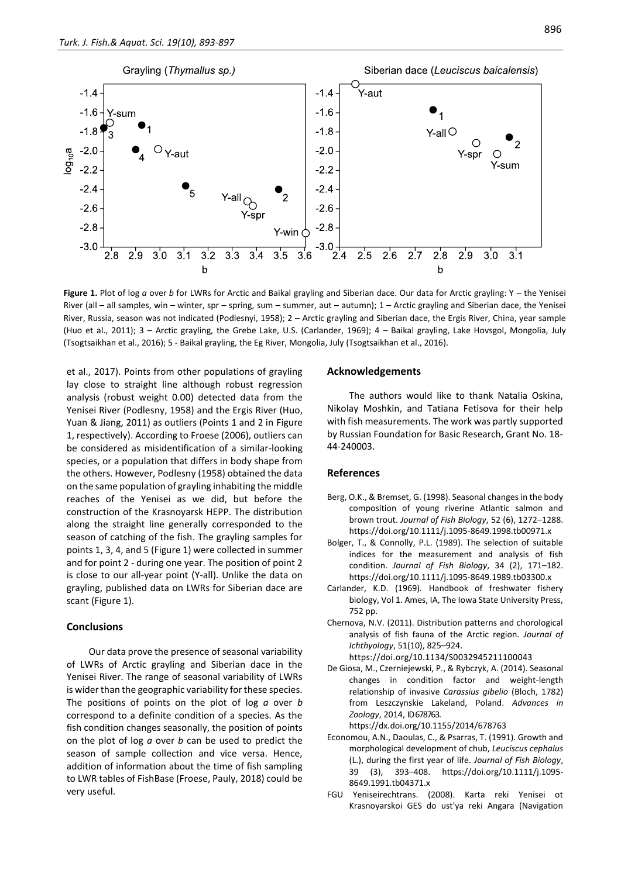

**Figure 1.** Plot of log *a* over *b* for LWRs for Arctic and Baikal grayling and Siberian dace. Our data for Arctic grayling: Y – the Yenisei River (all – all samples, win – winter, spr – spring, sum – summer, aut – autumn); 1 – Arctic grayling and Siberian dace, the Yenisei River, Russia, season was not indicated (Podlesnyi, 1958); 2 – Arctic grayling and Siberian dace, the Ergis River, China, year sample (Huo et al., 2011); 3 – Arctic grayling, the Grebe Lake, U.S. (Carlander, 1969); 4 – Baikal grayling, Lake Hovsgol, Mongolia, July (Tsogtsaikhan et al., 2016); 5 - Baikal grayling, the Eg River, Mongolia, July (Tsogtsaikhan et al., 2016).

et al., 2017). Points from other populations of grayling lay close to straight line although robust regression analysis (robust weight 0.00) detected data from the Yenisei River (Podlesny, 1958) and the Ergis River (Huo, Yuan & Jiang, 2011) as outliers (Points 1 and 2 in Figure 1, respectively). According to Froese (2006), outliers can be considered as misidentification of a similar-looking species, or a population that differs in body shape from the others. However, Podlesny (1958) obtained the data on the same population of grayling inhabiting the middle reaches of the Yenisei as we did, but before the construction of the Krasnoyarsk HEPP. The distribution along the straight line generally corresponded to the season of catching of the fish. The grayling samples for points 1, 3, 4, and 5 (Figure 1) were collected in summer and for point 2 - during one year. The position of point 2 is close to our all-year point (Y-all). Unlike the data on grayling, published data on LWRs for Siberian dace are scant (Figure 1).

## **Conclusions**

Our data prove the presence of seasonal variability of LWRs of Arctic grayling and Siberian dace in the Yenisei River. The range of seasonal variability of LWRs is wider than the geographic variability for these species. The positions of points on the plot of log *a* over *b* correspond to a definite condition of a species. As the fish condition changes seasonally, the position of points on the plot of log *a* over *b* can be used to predict the season of sample collection and vice versa. Hence, addition of information about the time of fish sampling to LWR tables of FishBase (Froese, Pauly, 2018) could be very useful.

#### **Acknowledgements**

The authors would like to thank Natalia Oskina, Nikolay Moshkin, and Tatiana Fetisova for their help with fish measurements. The work was partly supported by Russian Foundation for Basic Research, Grant No. 18- 44-240003.

#### **References**

- Berg, O.K., & Bremset, G. (1998). Seasonal changes in the body composition of young riverine Atlantic salmon and brown trout. *Journal of Fish Biology*, 52 (6), 1272–1288. https://doi.org/10.1111/j.1095-8649.1998.tb00971.x
- Bolger, T., & Connolly, P.L. (1989). The selection of suitable indices for the measurement and analysis of fish condition. *Journal of Fish Biology*, 34 (2), 171–182. https://doi.org/10.1111/j.1095-8649.1989.tb03300.x
- Carlander, K.D. (1969)*.* Handbook of freshwater fishery biology, Vol 1. Ames, IA, The Iowa State University Press, 752 pp.
- Chernova, N.V. (2011). Distribution patterns and chorological analysis of fish fauna of the Arctic region. *Journal of Ichthyology*, 51(10), 825–924. https://doi.org/10.1134/S0032945211100043
- De Giosa, M., Czerniejewski, P., & Rybczyk, A. (2014). Seasonal changes in condition factor and weight-length relationship of invasive *Carassius gibelio* (Bloch, 1782) from Leszczynskie Lakeland, Poland. *Advances in Zoology*, 2014, ID678763.

https://dx.doi.org/10.1155/2014/678763

- Economou, A.N., Daoulas, C., & Psarras, T. (1991). Growth and morphological development of chub, *Leuciscus cephalus* (L.), during the first year of life. *Journal of Fish Biology*, 39 (3), 393–408. https://doi.org/10.1111/j.1095- 8649.1991.tb04371.x
- FGU Yeniseirechtrans. (2008). Karta reki Yenisei ot Krasnoyarskoi GES do ust'ya reki Angara (Navigation